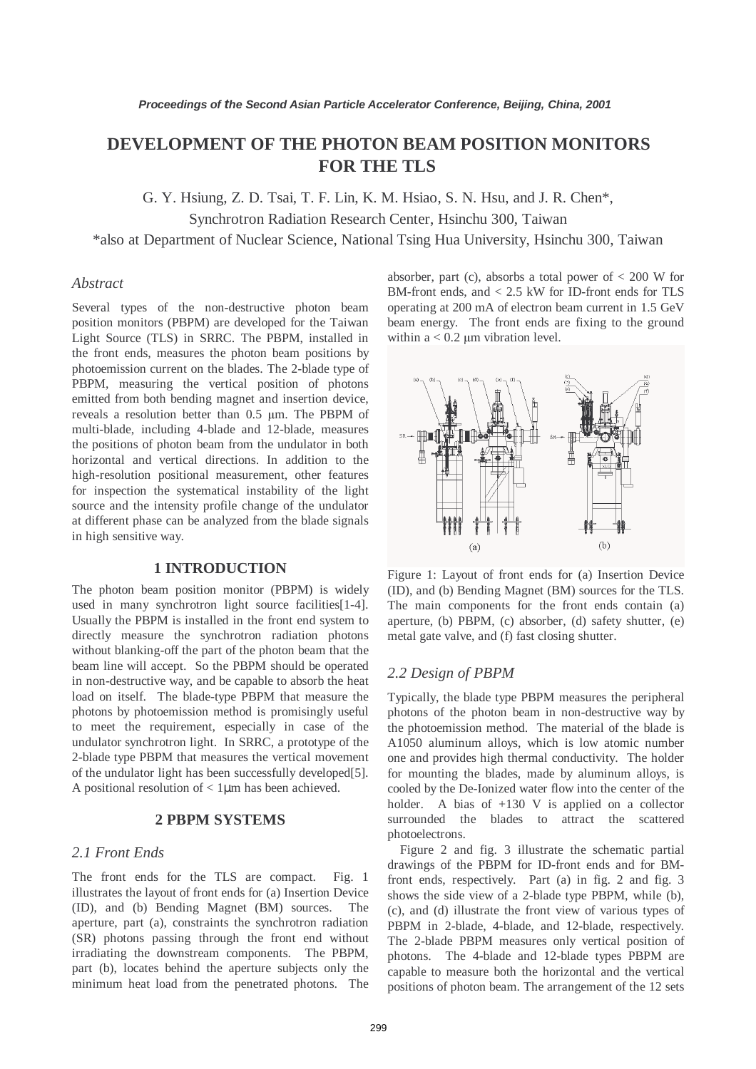# **DEVELOPMENT OF THE PHOTON BEAM POSITION MONITORS FOR THE TLS**

G. Y. Hsiung, Z. D. Tsai, T. F. Lin, K. M. Hsiao, S. N. Hsu, and J. R. Chen\*,

Synchrotron Radiation Research Center, Hsinchu 300, Taiwan

\*also at Department of Nuclear Science, National Tsing Hua University, Hsinchu 300, Taiwan

## *Abstract*

Several types of the non-destructive photon beam position monitors (PBPM) are developed for the Taiwan Light Source (TLS) in SRRC. The PBPM, installed in the front ends, measures the photon beam positions by photoemission current on the blades. The 2-blade type of PBPM, measuring the vertical position of photons emitted from both bending magnet and insertion device, reveals a resolution better than 0.5 µm. The PBPM of multi-blade, including 4-blade and 12-blade, measures the positions of photon beam from the undulator in both horizontal and vertical directions. In addition to the high-resolution positional measurement, other features for inspection the systematical instability of the light source and the intensity profile change of the undulator at different phase can be analyzed from the blade signals in high sensitive way.

### **1 INTRODUCTION**

The photon beam position monitor (PBPM) is widely used in many synchrotron light source facilities[1-4]. Usually the PBPM is installed in the front end system to directly measure the synchrotron radiation photons without blanking-off the part of the photon beam that the beam line will accept. So the PBPM should be operated in non-destructive way, and be capable to absorb the heat load on itself. The blade-type PBPM that measure the photons by photoemission method is promisingly useful to meet the requirement, especially in case of the undulator synchrotron light. In SRRC, a prototype of the 2-blade type PBPM that measures the vertical movement of the undulator light has been successfully developed[5]. A positional resolution of  $< 1 \mu m$  has been achieved.

## **2 PBPM SYSTEMS**

# *2.1 Front Ends*

The front ends for the TLS are compact. Fig. 1 illustrates the layout of front ends for (a) Insertion Device (ID), and (b) Bending Magnet (BM) sources. The aperture, part (a), constraints the synchrotron radiation (SR) photons passing through the front end without irradiating the downstream components. The PBPM, part (b), locates behind the aperture subjects only the minimum heat load from the penetrated photons. The absorber, part (c), absorbs a total power of  $< 200$  W for BM-front ends, and < 2.5 kW for ID-front ends for TLS operating at 200 mA of electron beam current in 1.5 GeV beam energy. The front ends are fixing to the ground within  $a < 0.2 \mu m$  vibration level.



Figure 1: Layout of front ends for (a) Insertion Device (ID), and (b) Bending Magnet (BM) sources for the TLS. The main components for the front ends contain (a) aperture, (b) PBPM, (c) absorber, (d) safety shutter, (e) metal gate valve, and (f) fast closing shutter.

## *2.2 Design of PBPM*

Typically, the blade type PBPM measures the peripheral photons of the photon beam in non-destructive way by the photoemission method. The material of the blade is A1050 aluminum alloys, which is low atomic number one and provides high thermal conductivity. The holder for mounting the blades, made by aluminum alloys, is cooled by the De-Ionized water flow into the center of the holder. A bias of  $+130$  V is applied on a collector surrounded the blades to attract the scattered photoelectrons.

Figure 2 and fig. 3 illustrate the schematic partial drawings of the PBPM for ID-front ends and for BMfront ends, respectively. Part (a) in fig. 2 and fig. 3 shows the side view of a 2-blade type PBPM, while (b), (c), and (d) illustrate the front view of various types of PBPM in 2-blade, 4-blade, and 12-blade, respectively. The 2-blade PBPM measures only vertical position of photons. The 4-blade and 12-blade types PBPM are capable to measure both the horizontal and the vertical positions of photon beam. The arrangement of the 12 sets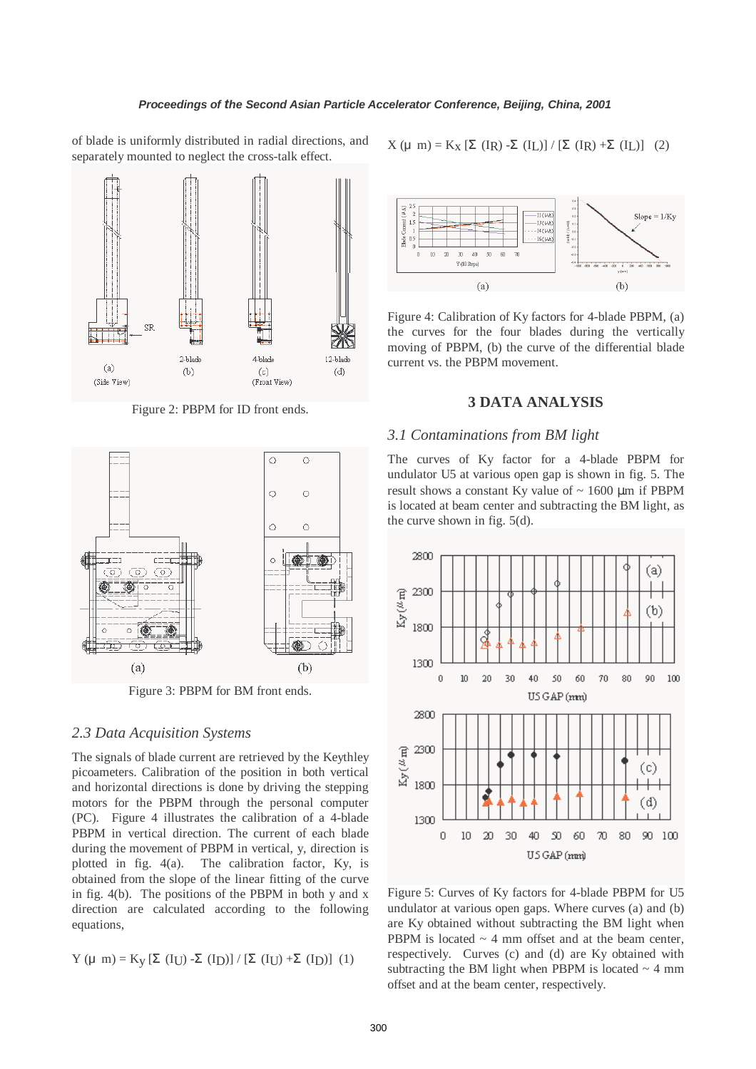of blade is uniformly distributed in radial directions, and separately mounted to neglect the cross-talk effect.



Figure 2: PBPM for ID front ends.



Figure 3: PBPM for BM front ends.

## *2.3 Data Acquisition Systems*

The signals of blade current are retrieved by the Keythley picoameters. Calibration of the position in both vertical and horizontal directions is done by driving the stepping motors for the PBPM through the personal computer (PC). Figure 4 illustrates the calibration of a 4-blade PBPM in vertical direction. The current of each blade during the movement of PBPM in vertical, y, direction is plotted in fig. 4(a). The calibration factor, Ky, is obtained from the slope of the linear fitting of the curve in fig. 4(b). The positions of the PBPM in both y and x direction are calculated according to the following equations,

$$
Y \ (\mu \ m) = K_y \ [\Sigma \ (I_U) - \Sigma \ (I_D)] \ / \ [\Sigma \ (I_U) + \Sigma \ (I_D)] \ (1)
$$

 $X(\mu \text{ m}) = K_X [\Sigma (\text{I}_R) - \Sigma (\text{I}_L)] / [\Sigma (\text{I}_R) + \Sigma (\text{I}_L)]$  (2)



Figure 4: Calibration of Ky factors for 4-blade PBPM, (a) the curves for the four blades during the vertically moving of PBPM, (b) the curve of the differential blade current vs. the PBPM movement.

### **3 DATA ANALYSIS**

#### *3.1 Contaminations from BM light*

The curves of Ky factor for a 4-blade PBPM for undulator U5 at various open gap is shown in fig. 5. The result shows a constant Ky value of  $\sim 1600 \mu m$  if PBPM is located at beam center and subtracting the BM light, as the curve shown in fig. 5(d).



Figure 5: Curves of Ky factors for 4-blade PBPM for U5 undulator at various open gaps. Where curves (a) and (b) are Ky obtained without subtracting the BM light when PBPM is located  $\sim$  4 mm offset and at the beam center, respectively. Curves (c) and (d) are Ky obtained with subtracting the BM light when PBPM is located  $\sim$  4 mm offset and at the beam center, respectively.